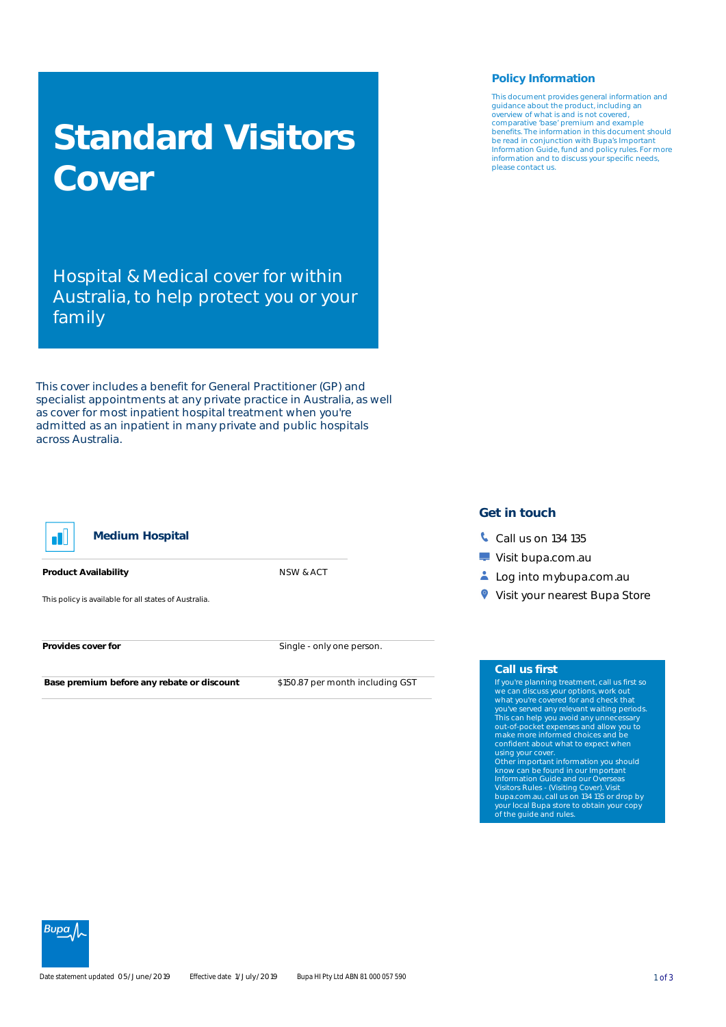# **Standard Visitors Cover**

Hospital & Medical cover for within Australia, to help protect you or your family

This cover includes a benefit for General Practitioner (GP) and specialist appointments at any private practice in Australia, as well as cover for most inpatient hospital treatment when you're admitted as an inpatient in many private and public hospitals across Australia.



### **Medium Hospital**

**Product Availability** NSW & ACT

This policy is available for all states of Australia.

**Provides cover for Single - only one person.** 

**Base premium before any rebate or discount** \$150.87 per month including GST

## **Policy Information**

This document provides general information and guidance about the product, including an overview of what is and is not covered, comparative 'base' premium and example benefits. The information in this document should be read in conjunction with Bupa's Important Information Guide, fund and policy rules. For more information and to discuss your specific needs, please contact us.

## **Get in touch**

- **Call us on 134 135**
- **Visit bupa.com.au**
- Log into mybupa.com.au
- **Visit your nearest Bupa Store**

#### **Call us first**

If you're planning treatment, call us first so we can discuss your options, work out what you're covered for and check that<br>This can help you avoid any unnecessary<br>out-of-pocket expenses and allow you to<br>out-of-pocket expenses and allow you to<br>make more informed choices and be confident about what to expect when using your cover.

Other important information you should know can be found in our Important Information Guide and our Overseas Visitors Rules - (Visiting Cover). Visit bupa.com.au, call us on 134 135 or drop by your local Bupa store to obtain your copy of the guide and rules.

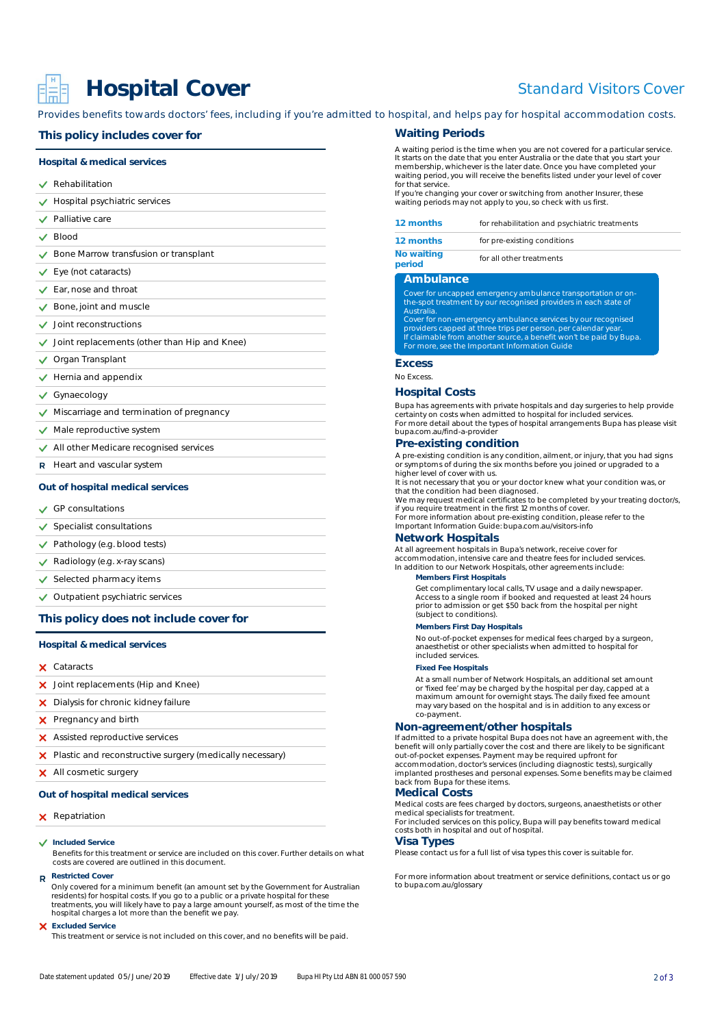## **Hospital Cover**

## Standard Visitors Cover

Provides benefits towards doctors' fees, including if you're admitted to hospital, and helps pay for hospital accommodation costs.

#### **This policy includes cover for**

#### **Hospital & medical services**

- **√** Rehabilitation
- Hospital psychiatric services
- **√** Palliative care
- Blood  $\checkmark$
- Bone Marrow transfusion or transplant
- Eye (not cataracts)
- Ear, nose and throat
- $\checkmark$  Bone, joint and muscle
- $\checkmark$  Joint reconstructions
- $\checkmark$  Joint replacements (other than Hip and Knee)
- ◆ Organ Transplant
- $\sqrt{\phantom{a}}$  Hernia and appendix
- Gynaecology
- $\vee$  Miscarriage and termination of pregnancy
- $\checkmark$  Male reproductive system
- All other Medicare recognised services
- R Heart and vascular system

#### **Out of hospital medical services**

- $\vee$  GP consultations
- $\checkmark$  Specialist consultations
- $\checkmark$  Pathology (e.g. blood tests)
- ◆ Radiology (e.g. x-ray scans)
- $\checkmark$  Selected pharmacy items
- $\checkmark$  Outpatient psychiatric services

## **This policy does not include cover for**

#### **Hospital & medical services**

- Cataracts
- X Joint replacements (Hip and Knee)
- **X** Dialysis for chronic kidney failure
- **X** Pregnancy and birth
- **X** Assisted reproductive services
- X Plastic and reconstructive surgery (medically necessary)
- X All cosmetic surgery

#### **Out of hospital medical services**

#### **X** Repatriation

**Included Service**

Benefits for this treatment or service are included on this cover. Further details on what costs are covered are outlined in this document.

## **Restricted Cover**

Only covered for a minimum benefit (an amount set by the Government for Australian residents) for hospital costs. If you go to a public or a private hospital for these treatments, you will likely have to pay a large amount yourself, as most of the time the hospital charges a lot more than the benefit we pay.

#### **Excluded Service**

This treatment or service is not included on this cover, and no benefits will be paid.

#### **Waiting Periods**

A waiting period is the time when you are not covered for a particular service. It starts on the date that you enter Australia or the date that you start your membership, whichever is the later date. Once you have completed your waiting period, you will receive the benefits listed under your level of cover for that service

If you're changing your cover or switching from another Insurer, these waiting periods may not apply to you, so check with us first.

| 12 months                   | for rehabilitation and psychiatric treatments                                                                                   |
|-----------------------------|---------------------------------------------------------------------------------------------------------------------------------|
| 12 months                   | for pre-existing conditions                                                                                                     |
| <b>No waiting</b><br>period | for all other treatments                                                                                                        |
| <b>Ambulance</b>            |                                                                                                                                 |
| Australia.                  | Cover for uncapped emergency ambulance transportation or on-<br>the-spot treatment by our recognised providers in each state of |
|                             | Cover for non-emergency ambulance services by our recognised<br>providers capped at three trips per person, per calendar year.  |
|                             | If claimable from another source, a benefit won't be paid by Bupa.<br>For more, see the Important Information Guide             |

#### **Excess**

No Excess.

## **Hospital Costs**

Bupa has agreements with private hospitals and day surgeries to help provide certainty on costs when admitted to hospital for included services. For more detail about the types of hospital arrangements Bupa has please visit bupa.com.au/find-a-provider

## **Pre-existing condition**

A pre-existing condition is any condition, ailment, or injury, that you had signs or symptoms of during the six months before you joined or upgraded to a higher level of cover with us.

It is not necessary that you or your doctor knew what your condition was, or

that the condition had been diagnosed. We may request medical certificates to be completed by your treating doctor/s, if you require treatment in the first 12 months of cover. For more information about pre-existing condition, please refer to the

Important Information Guide: bupa.com.au/visitors-info

## **Network Hospitals**

At all agreement hospitals in Bupa's network, receive cover for accommodation, intensive care and theatre fees for included services. In addition to our Network Hospitals, other agreements include:

#### **Members First Hospitals**

Get complimentary local calls, TV usage and a daily newspaper. Access to a single room if booked and requested at least 24 hours prior to admission or get \$50 back from the hospital per night (subject to conditions).

#### **Members First Day Hospitals**

No out-of-pocket expenses for medical fees charged by a surgeon, anaesthetist or other specialists when admitted to hospital for included services.

#### **Fixed Fee Hospitals**

At a small number of Network Hospitals, an additional set amount or 'fixed fee' may be charged by the hospital per day, capped at a maximum amount for overnight stays. The daily fixed fee amount may vary based on the hospital and is in addition to any excess or co-payment.

## **Non-agreement/other hospitals**

If admitted to a private hospital Bupa does not have an agreement with, the benefit will only partially cover the cost and there are likely to be significant out-of-pocket expenses. Payment may be required upfront for accommodation, doctor's services (including diagnostic tests), surgically implanted prostheses and personal expenses. Some benefits may be claimed back from Bupa for these items.

#### **Medical Costs**

Medical costs are fees charged by doctors, surgeons, anaesthetists or other medical specialists for treatment.

For included services on this policy, Bupa will pay benefits toward medical costs both in hospital and out of hospital.

#### **Visa Types**

Please contact us for a full list of visa types this cover is suitable for.

For more information about treatment or service definitions, contact us or go to bupa.com.au/glossary